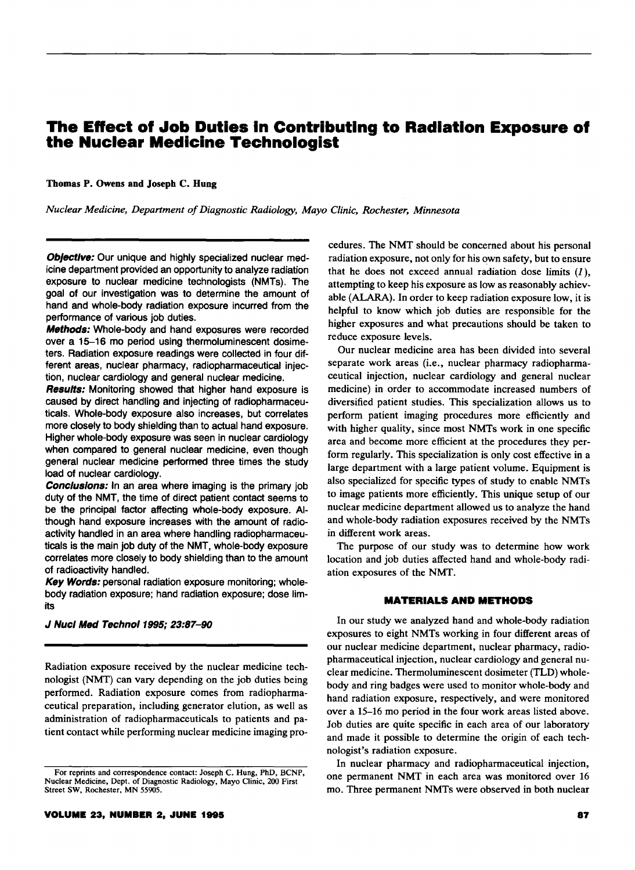# **The Effect of Job Duties In Contributing to Radiation Exposure of the Nuclear Medicine Technologist**

## Thomas P. Owens and Joseph C. Hung

*Nuclear Medicine, Department of Diagnostic Radiology, Mayo Clinic, Rochester, Minnesota* 

Objective: Our unique and highly specialized nuclear medicine department provided an opportunity to analyze radiation exposure to nuclear medicine technologists (NMTs). The goal of our investigation was to determine the amount of hand and whole-body radiation exposure incurred from the performance of various job duties.

**Methods:** Whole-body and hand exposures were recorded over a 15-16 mo period using thermoluminescent dosimeters. Radiation exposure readings were collected in four different areas, nuclear pharmacy, radiopharmaceutical injection, nuclear cardiology and general nuclear medicine.

**Results:** Monitoring showed that higher hand exposure is caused by direct handling and injecting of radiopharmaceuticals. Whole-body exposure also increases, but correlates more closely to body shielding than to actual hand exposure. Higher whole-body exposure was seen in nuclear cardiology when compared to general nuclear medicine, even though general nuclear medicine performed three times the study load of nuclear cardiology.

Conclusions: In an area where imaging is the primary job duty of the NMT, the time of direct patient contact seems to be the principal factor affecting whole-body exposure. Although hand exposure increases with the amount of radioactivity handled in an area where handling radiopharmaceuticals is the main job duty of the NMT, whole-body exposure correlates more closely to body shielding than to the amount of radioactivity handled.

Key Words: personal radiation exposure monitoring; wholebody radiation exposure; hand radiation exposure; dose limits

## J Nucl Med Technol 1995; 23:87-90

Radiation exposure received by the nuclear medicine technologist (NMT) can vary depending on the job duties being performed. Radiation exposure comes from radiopharmaceutical preparation, including generator elution, as well as administration of radiopharmaceuticals to patients and patient contact while performing nuclear medicine imaging procedures. The NMT should be concerned about his personal radiation exposure, not only for his own safety, but to ensure that he does not exceed annual radiation dose limits *(J* ), attempting to keep his exposure as low as reasonably achievable (ALARA). In order to keep radiation exposure low, it is helpful to know which job duties are responsible for the higher exposures and what precautions should be taken to reduce exposure levels.

Our nuclear medicine area has been divided into several separate work areas (i.e., nuclear pharmacy radiopharmaceutical injection, nuclear cardiology and general nuclear medicine) in order to accommodate increased numbers of diversified patient studies. This specialization allows us to perform patient imaging procedures more efficiently and with higher quality, since most NMTs work in one specific area and become more efficient at the procedures they perform regularly. This specialization is only cost effective in a large department with a large patient volume. Equipment is also specialized for specific types of study to enable NMTs to image patients more efficiently. This unique setup of our nuclear medicine department allowed us to analyze the hand and whole-body radiation exposures received by the NMTs in different work areas.

The purpose of our study was to determine how work location and job duties affected hand and whole-body radiation exposures of the NMT.

## **MATERIALS AND METHODS**

In our study we analyzed hand and whole-body radiation exposures to eight NMTs working in four different areas of our nuclear medicine department, nuclear pharmacy, radiopharmaceutical injection, nuclear cardiology and general nuclear medicine. Thermoluminescent dosimeter (TLD) wholebody and ring badges were used to monitor whole-body and hand radiation exposure, respectively, and were monitored over a 15-16 mo period in the four work areas listed above. Job duties are quite specific in each area of our laboratory and made it possible to determine the origin of each technologist's radiation exposure.

In nuclear pharmacy and radiopharmaceutical injection, one permanent NMT in each area was monitored over 16 mo. Three permanent NMTs were observed in both nuclear

For reprints and correspondence contact: Joseph C. Hung, PhD, BCNP, Nuclear Medicine, Dept. of Diagnostic Radiology, Mayo Clinic, 200 First Street SW, Rochester, MN 55905.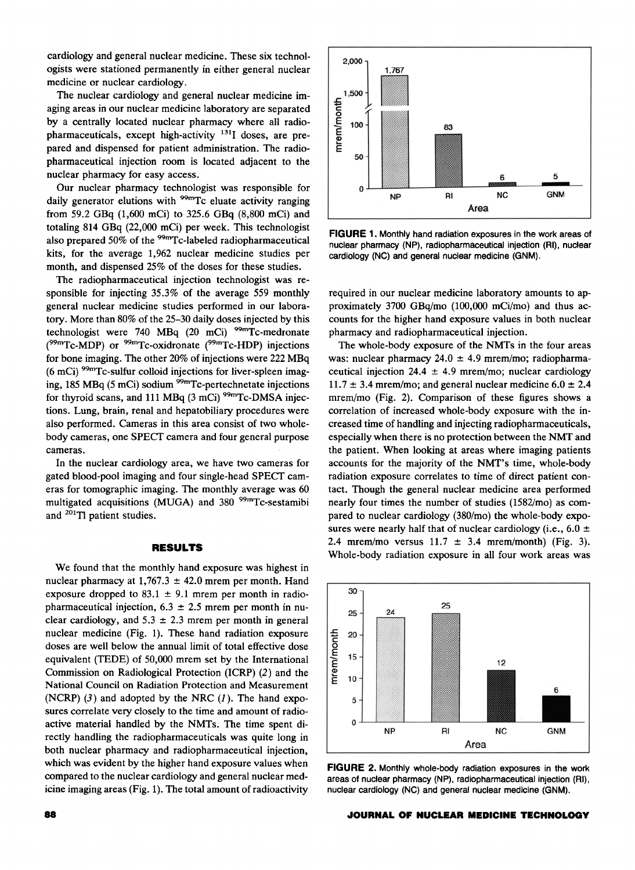cardiology and general nuclear medicine. These six technologists were stationed permanently in either general nuclear medicine or nuclear cardiology.

The nuclear cardiology and general nuclear medicine imaging areas in our nuclear medicine laboratory are separated by a centrally located nuclear pharmacy where all radiopharmaceuticals, except high-activity 131I doses, are prepared and dispensed for patient administration. The radiopharmaceutical injection room is located adjacent to the nuclear pharmacy for easy access.

Our nuclear pharmacy technologist was responsible for daily generator elutions with  $99<sup>cm</sup>$ Tc eluate activity ranging from 59.2 GBq (1,600 mCi) to 325.6 GBq (8,800 mCi) and totaling 814 GBq (22,000 mCi) per week. This technologist also prepared 50% of the <sup>99m</sup>Tc-labeled radiopharmaceutical kits, for the average 1,962 nuclear medicine studies per month, and dispensed 25% of the doses for these studies.

The radiopharmaceutical injection technologist was responsible for injecting 35.3% of the average 559 monthly general nuclear medicine studies performed in our laboratory. More than 80% of the 25-30 daily doses injected by this technologist were 740 MBq (20 mCi) <sup>99m</sup>Tc-medronate  $(^{99m}Tc\text{-MDP})$  or  $^{99m}Tc\text{-oxidronate}$  ( $^{99m}Tc\text{-HDP}$ ) injections for bone imaging. The other 20% of injections were 222 MBq  $(6 \text{ mCi})$  <sup>99m</sup>Tc-sulfur colloid injections for liver-spleen imaging, 185 MBq (5 mCi) sodium <sup>99m</sup>Tc-pertechnetate injections for thyroid scans, and 111 MBq (3 mCi)<sup>99m</sup>Tc-DMSA injections. Lung, brain, renal and hepatobiliary procedures were also performed. Cameras in this area consist of two wholebody cameras, one SPECT camera and four general purpose cameras.

In the nuclear cardiology area, we have two cameras for gated blood-pool imaging and four single-head SPECT cameras for tomographic imaging. The monthly average was 60 multigated acquisitions (MUGA) and 380<sup>99m</sup>Tc-sestamibi and 201Tl patient studies.

#### **RESULTS**

We found that the monthly hand exposure was highest in nuclear pharmacy at  $1,767.3 \pm 42.0$  mrem per month. Hand exposure dropped to 83.1  $\pm$  9.1 mrem per month in radiopharmaceutical injection,  $6.3 \pm 2.5$  mrem per month in nuclear cardiology, and  $5.3 \pm 2.3$  mrem per month in general nuclear medicine (Fig. 1). These hand radiation exposure doses are well below the annual limit of total effective dose equivalent (TEDE) of 50,000 mrem set by the International Commission on Radiological Protection (ICRP) (2) and the National Council on Radiation Protection and Measurement (NCRP)  $(3)$  and adopted by the NRC  $(1)$ . The hand exposures correlate very closely to the time and amount of radioactive material handled by the NMTs. The time spent directly handling the radiopharmaceuticals was quite long in both nuclear pharmacy and radiopharmaceutical injection, which was evident by the higher hand exposure values when compared to the nuclear cardiology and general nuclear medicine imaging areas (Fig. 1). The total amount of radioactivity



**FIGURE** 1. Monthly hand radiation exposures in the work areas of nuclear pharmacy (NP), radiopharmaceutical injection (RI), nuclear cardiology (NC) and general nuclear medicine (GNM).

required in our nuclear medicine laboratory amounts to approximately 3700 GBq/mo (100,000 mCi/mo) and thus accounts for the higher hand exposure values in both nuclear pharmacy and radiopharmaceutical injection.

The whole-body exposure of the NMTs in the four areas was: nuclear pharmacy  $24.0 \pm 4.9$  mrem/mo; radiopharmaceutical injection 24.4  $\pm$  4.9 mrem/mo; nuclear cardiology  $11.7 \pm 3.4$  mrem/mo; and general nuclear medicine  $6.0 \pm 2.4$ mrem/mo (Fig. 2). Comparison of these figures shows a correlation of increased whole-body exposure with the increased time of handling and injecting radiopharmaceuticals, especially when there is no protection between the NMT and the patient. When looking at areas where imaging patients accounts for the majority of the NMT's time, whole-body radiation exposure correlates to time of direct patient contact. Though the general nuclear medicine area performed nearly four times the number of studies (1582/mo) as compared to nuclear cardiology (380/mo) the whole-body exposures were nearly half that of nuclear cardiology (i.e.,  $6.0 \pm$ 2.4 mrem/mo versus  $11.7 \pm 3.4$  mrem/month) (Fig. 3). Whole-body radiation exposure in all four work areas was



**FIGURE** 2. Monthly whole-body radiation exposures in the work areas of nuclear pharmacy (NP), radiopharmaceutical injection (RI), nuclear cardiology (NC) and general nuclear medicine (GNM).

#### **.JOURNAL OF NUCLEAR MEDICINE TECHNOLOGY**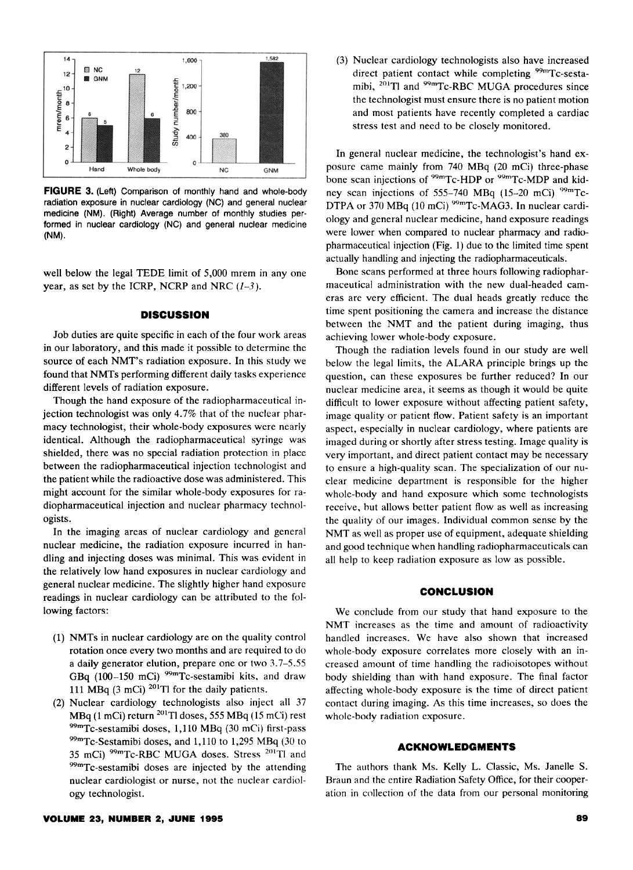

**FIGURE** 3. (Left) Comparison of monthly hand and whole-body radiation exposure in nuclear cardiology (NC) and general nuclear medicine (NM). (Right) Average number of monthly studies performed in nuclear cardiology (NC) and general nuclear medicine (NM).

well below the legal TEDE limit of 5,000 mrem in any one year, as set by the ICRP, NCRP and NRC  $(1-3)$ .

# **DISCUSSION**

Job duties are quite specific in each of the four work areas in our laboratory, and this made it possible to determine the source of each NMT's radiation exposure. In this study we found that NMTs performing different daily tasks experience different levels of radiation exposure.

Though the hand exposure of the radiopharmaceutical injection technologist was only 4.7% that of the nuclear pharmacy technologist, their whole-body exposures were nearly identical. Although the radiopharmaceutical syringe was shielded, there was no special radiation protection in place between the radiopharmaceutical injection technologist and the patient while the radioactive dose was administered. This might account for the similar whole-body exposures for radiopharmaceutical injection and nuclear pharmacy technologists.

In the imaging areas of nuclear cardiology and general nuclear medicine, the radiation exposure incurred in handling and injecting doses was minimal. This was evident in the relatively low hand exposures in nuclear cardiology and general nuclear medicine. The slightly higher hand exposure readings in nuclear cardiology can be attributed to the following factors:

- (1) NMTs in nuclear cardiology are on the quality control rotation once every two months and are required to do a daily generator elution, prepare one or two 3. 7-5.55 GBq (100-150 mCi) 99mTc-sestamibi kits, and draw 111 MBq (3 mCi)  $^{201}$ Tl for the daily patients.
- (2) Nuclear cardiology technologists also inject all 37 MBq (1 mCi) return <sup>201</sup>Tl doses, 555 MBq (15 mCi) rest  $^{99m}$ Tc-sestamibi doses, 1,110 MBq (30 mCi) first-pass  $^{99m}$ Tc-Sestamibi doses, and 1,110 to 1,295 MBq (30 to 35 mCi)  $^{99m}$ Tc-RBC MUGA doses. Stress  $^{201}$ Tl and  $^{99m}$ Tc-sestamibi doses are injected by the attending nuclear cardiologist or nurse, not the nuclear cardiology technologist.

(3) Nuclear cardiology technologists also have increased direct patient contact while completing <sup>99m</sup>Tc-sestamibi, 201Tl and 99mTc-RBC MUGA procedures since the technologist must ensure there is no patient motion and most patients have recently completed a cardiac stress test and need to be closely monitored.

In general nuclear medicine, the technologist's hand exposure came mainly from 740 MBq (20 mCi) three-phase bone scan injections of <sup>99m</sup>Tc-HDP or <sup>99m</sup>Tc-MDP and kidney scan injections of 555-740 MBq (15-20 mCi) <sup>99m</sup>Tc-DTPA or 370 MBq (10 mCi) <sup>99m</sup>Tc-MAG3. In nuclear cardiology and general nuclear medicine, hand exposure readings were lower when compared to nuclear pharmacy and radiopharmaceutical injection (Fig. 1) due to the limited time spent actually handling and injecting the radiopharmaceuticals.

Bone scans performed at three hours following radiopharmaceutical administration with the new dual-headed cameras are very efficient. The dual heads greatly reduce the time spent positioning the camera and increase the distance between the NMT and the patient during imaging, thus achieving lower whole-body exposure.

Though the radiation levels found in our study are well below the legal limits, the ALARA principle brings up the question, can these exposures be further reduced? In our nuclear medicine area, it seems as though it would be quite difficult to lower exposure without affecting patient safety, image quality or patient flow. Patient safety is an important aspect, especially in nuclear cardiology, where patients are imaged during or shortly after stress testing. Image quality is very important, and direct patient contact may be necessary to ensure a high-quality scan. The specialization of our nuclear medicine department is responsible for the higher whole-body and hand exposure which some technologists receive, but allows better patient flow as well as increasing the quality of our images. Individual common sense by the NMT as well as proper use of equipment, adequate shielding and good technique when handling radiopharmaceuticals can all help to keep radiation exposure as low as possible.

### **CONCLUSION**

We conclude from our study that hand exposure to the NMT increases as the time and amount of radioactivity handled increases. We have also shown that increased whole-body exposure correlates more closely with an increased amount of time handling the radioisotopes without body shielding than with hand exposure. The final factor affecting whole-body exposure is the time of direct patient contact during imaging. As this time increases, so does the whole-body radiation exposure.

#### **ACKNOWLEDGMENTS**

The authors thank Ms. Kelly L. Classic, Ms. Janelle S. Braun and the entire Radiation Safety Office, for their cooperation in collection of the data from our personal monitoring